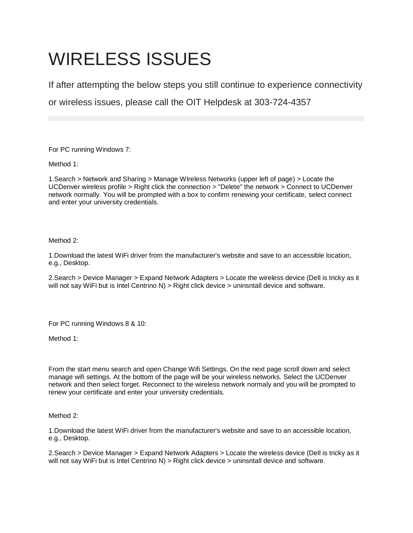## WIRELESS ISSUES

If after attempting the below steps you still continue to experience connectivity

or wireless issues, please call the OIT Helpdesk at 303-724-4357

For PC running Windows 7:

Method 1:

1.Search > Network and Sharing > Manage WIreless Networks (upper left of page) > Locate the UCDenver wireless profile > Right click the connection > "Delete" the network > Connect to UCDenver network normally. You will be prompted with a box to confirm renewing your certificate, select connect and enter your university credentials.

Method 2:

1.Download the latest WiFi driver from the manufacturer's website and save to an accessible location, e.g., Desktop.

2.Search > Device Manager > Expand Network Adapters > Locate the wireless device (Dell is tricky as it will not say WiFi but is Intel Centrino N) > Right click device > uninsntall device and software.

For PC running Windows 8 & 10:

Method 1:

From the start menu search and open Change Wifi Settings. On the next page scroll down and select manage wifi settings. At the bottom of the page will be your wireless networks. Select the UCDenver network and then select forget. Reconnect to the wireless network normaly and you will be prompted to renew your certificate and enter your university credentials.

Method 2:

1.Download the latest WiFi driver from the manufacturer's website and save to an accessible location, e.g., Desktop.

2.Search > Device Manager > Expand Network Adapters > Locate the wireless device (Dell is tricky as it will not say WiFi but is Intel Centrino N) > Right click device > uninsntall device and software.